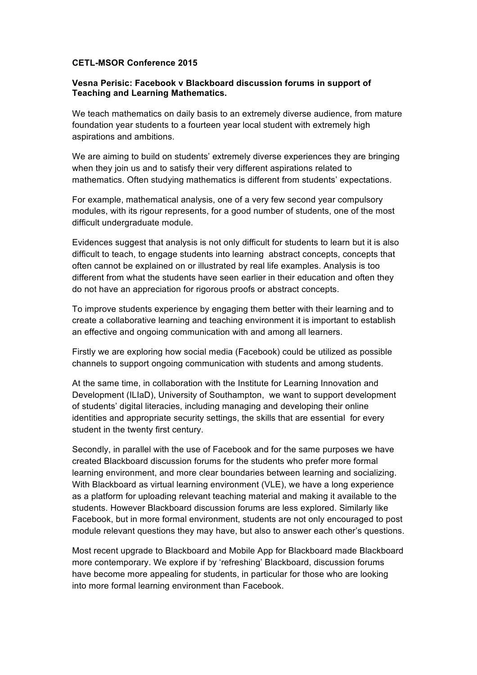## **CETL-MSOR Conference 2015**

## **Vesna Perisic: Facebook v Blackboard discussion forums in support of Teaching and Learning Mathematics.**

We teach mathematics on daily basis to an extremely diverse audience, from mature foundation year students to a fourteen year local student with extremely high aspirations and ambitions.

We are aiming to build on students' extremely diverse experiences they are bringing when they join us and to satisfy their very different aspirations related to mathematics. Often studying mathematics is different from students' expectations.

For example, mathematical analysis, one of a very few second year compulsory modules, with its rigour represents, for a good number of students, one of the most difficult undergraduate module.

Evidences suggest that analysis is not only difficult for students to learn but it is also difficult to teach, to engage students into learning abstract concepts, concepts that often cannot be explained on or illustrated by real life examples. Analysis is too different from what the students have seen earlier in their education and often they do not have an appreciation for rigorous proofs or abstract concepts.

To improve students experience by engaging them better with their learning and to create a collaborative learning and teaching environment it is important to establish an effective and ongoing communication with and among all learners.

Firstly we are exploring how social media (Facebook) could be utilized as possible channels to support ongoing communication with students and among students.

At the same time, in collaboration with the Institute for Learning Innovation and Development (ILIaD), University of Southampton, we want to support development of students' digital literacies, including managing and developing their online identities and appropriate security settings, the skills that are essential for every student in the twenty first century.

Secondly, in parallel with the use of Facebook and for the same purposes we have created Blackboard discussion forums for the students who prefer more formal learning environment, and more clear boundaries between learning and socializing. With Blackboard as virtual learning environment (VLE), we have a long experience as a platform for uploading relevant teaching material and making it available to the students. However Blackboard discussion forums are less explored. Similarly like Facebook, but in more formal environment, students are not only encouraged to post module relevant questions they may have, but also to answer each other's questions.

Most recent upgrade to Blackboard and Mobile App for Blackboard made Blackboard more contemporary. We explore if by 'refreshing' Blackboard, discussion forums have become more appealing for students, in particular for those who are looking into more formal learning environment than Facebook.